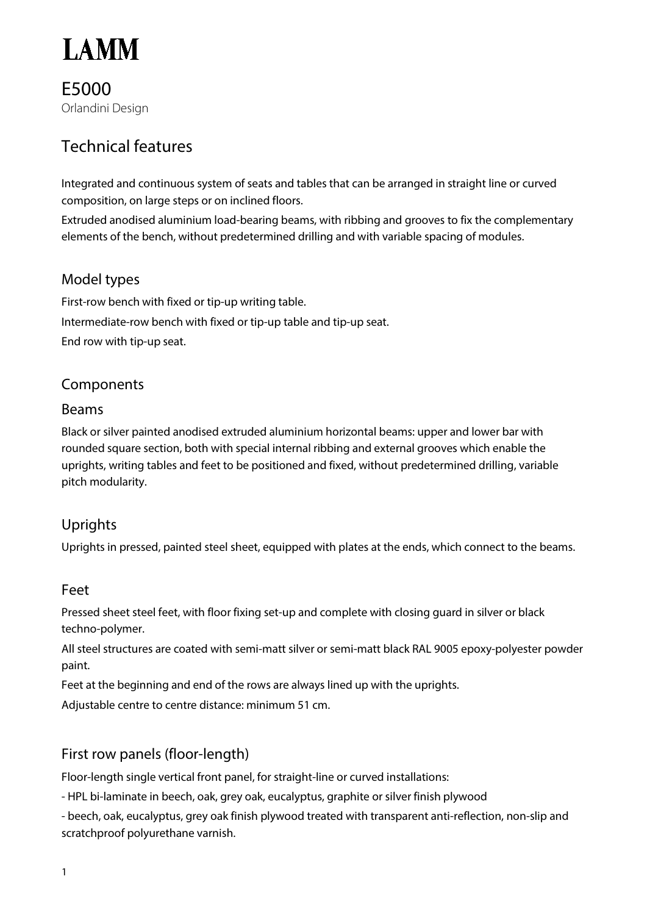

E5000 Orlandini Design

# Technical features

Integrated and continuous system of seats and tables that can be arranged in straight line or curved composition, on large steps or on inclined floors.

Extruded anodised aluminium load-bearing beams, with ribbing and grooves to fix the complementary elements of the bench, without predetermined drilling and with variable spacing of modules.

# Model types

First-row bench with fixed or tip-up writing table. Intermediate-row bench with fixed or tip-up table and tip-up seat. End row with tip-up seat.

#### Components

#### Beams

Black or silver painted anodised extruded aluminium horizontal beams: upper and lower bar with rounded square section, both with special internal ribbing and external grooves which enable the uprights, writing tables and feet to be positioned and fixed, without predetermined drilling, variable pitch modularity.

# Uprights

Uprights in pressed, painted steel sheet, equipped with plates at the ends, which connect to the beams.

#### Feet

Pressed sheet steel feet, with floor fixing set-up and complete with closing guard in silver or black techno-polymer.

All steel structures are coated with semi-matt silver or semi-matt black RAL 9005 epoxy-polyester powder paint.

Feet at the beginning and end of the rows are always lined up with the uprights.

Adjustable centre to centre distance: minimum 51 cm.

# First row panels (floor-length)

Floor-length single vertical front panel, for straight-line or curved installations:

- HPL bi-laminate in beech, oak, grey oak, eucalyptus, graphite or silver finish plywood

- beech, oak, eucalyptus, grey oak finish plywood treated with transparent anti-reflection, non-slip and scratchproof polyurethane varnish.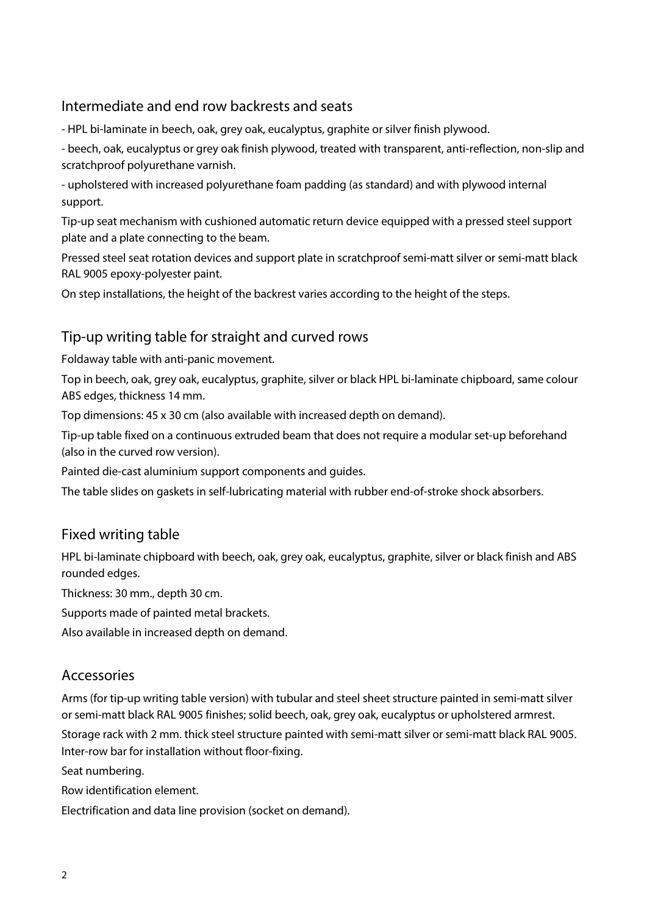# Intermediate and end row backrests and seats

- HPL bi-laminate in beech, oak, grey oak, eucalyptus, graphite or silver finish plywood.

- beech, oak, eucalyptus or grey oak finish plywood, treated with transparent, anti-reflection, non-slip and scratchproof polyurethane varnish.

- upholstered with increased polyurethane foam padding (as standard) and with plywood internal support.

Tip-up seat mechanism with cushioned automatic return device equipped with a pressed steel support plate and a plate connecting to the beam.

Pressed steel seat rotation devices and support plate in scratchproof semi-matt silver or semi-matt black RAL 9005 epoxy-polyester paint.

On step installations, the height of the backrest varies according to the height of the steps.

### Tip-up writing table for straight and curved rows

Foldaway table with anti-panic movement.

Top in beech, oak, grey oak, eucalyptus, graphite, silver or black HPL bi-laminate chipboard, same colour ABS edges, thickness 14 mm.

Top dimensions: 45 x 30 cm (also available with increased depth on demand).

Tip-up table fixed on a continuous extruded beam that does not require a modular set-up beforehand (also in the curved row version).

Painted die-cast aluminium support components and guides.

The table slides on gaskets in self-lubricating material with rubber end-of-stroke shock absorbers.

#### Fixed writing table

HPL bi-laminate chipboard with beech, oak, grey oak, eucalyptus, graphite, silver or black finish and ABS rounded edges.

Thickness: 30 mm., depth 30 cm.

Supports made of painted metal brackets.

Also available in increased depth on demand.

#### Accessories

Arms (for tip-up writing table version) with tubular and steel sheet structure painted in semi-matt silver or semi-matt black RAL 9005 finishes; solid beech, oak, grey oak, eucalyptus or upholstered armrest.

Storage rack with 2 mm. thick steel structure painted with semi-matt silver or semi-matt black RAL 9005. Inter-row bar for installation without floor-fixing.

Seat numbering.

Row identification element.

Electrification and data line provision (socket on demand).